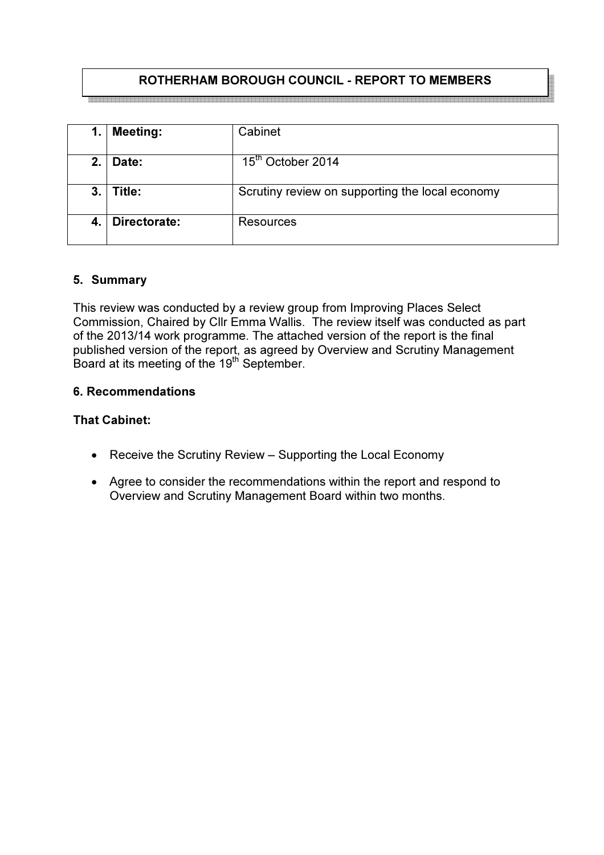# ROTHERHAM BOROUGH COUNCIL - REPORT TO MEMBERS

.<br>A lot you but you but you but you but you but you but you but you but you but you but you but you but you but you but you but you but you

| 1. | <b>Meeting:</b> | Cabinet                                         |
|----|-----------------|-------------------------------------------------|
| 2. | Date:           | 15 <sup>th</sup> October 2014                   |
| 3. | Title:          | Scrutiny review on supporting the local economy |
| 4. | Directorate:    | Resources                                       |

## 5. Summary

This review was conducted by a review group from Improving Places Select Commission, Chaired by Cllr Emma Wallis. The review itself was conducted as part of the 2013/14 work programme. The attached version of the report is the final published version of the report, as agreed by Overview and Scrutiny Management Board at its meeting of the 19<sup>th</sup> September.

### 6. Recommendations

### That Cabinet:

- Receive the Scrutiny Review Supporting the Local Economy
- Agree to consider the recommendations within the report and respond to Overview and Scrutiny Management Board within two months.